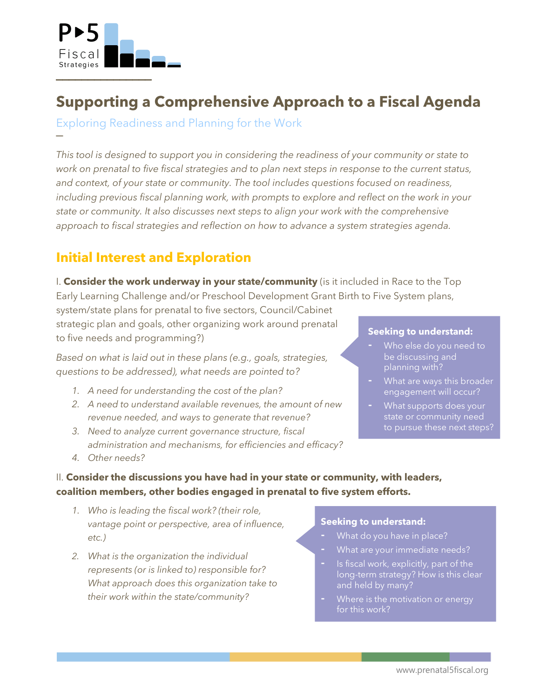

!!!!!!!!!!!!!!!

**─**

# **Supporting a Comprehensive Approach to a Fiscal Agenda**

Exploring Readiness and Planning for the Work

*This tool is designed to support you in considering the readiness of your community or state to work on prenatal to five fiscal strategies and to plan next steps in response to the current status, and context, of your state or community. The tool includes questions focused on readiness, including previous fiscal planning work, with prompts to explore and reflect on the work in your state or community. It also discusses next steps to align your work with the comprehensive approach to fiscal strategies and reflection on how to advance a system strategies agenda.*

## **Initial Interest and Exploration**

I. **Consider the work underway in your state/community** (is it included in Race to the Top Early Learning Challenge and/or Preschool Development Grant Birth to Five System plans,

system/state plans for prenatal to five sectors, Council/Cabinet strategic plan and goals, other organizing work around prenatal to five needs and programming?)

*Based on what is laid out in these plans (e.g., goals, strategies, questions to be addressed), what needs are pointed to?* 

- *1. A need for understanding the cost of the plan?*
- *2. A need to understand available revenues, the amount of new revenue needed, and ways to generate that revenue?*
- *3. Need to analyze current governance structure, fiscal administration and mechanisms, for efficiencies and efficacy?*

#### **Seeking to understand:**

- **-** Who else do you need to be discussing and
- **-** What are ways this broader engagement will occur?
- **-** What supports does your to pursue these next steps?

*4. Other needs?* 

## II. **Consider the discussions you have had in your state or community, with leaders, coalition members, other bodies engaged in prenatal to five system efforts.**

- *1. Who is leading the fiscal work? (their role, vantage point or perspective, area of influence, etc.)*
- *2. What is the organization the individual represents (or is linked to) responsible for? What approach does this organization take to their work within the state/community?*

#### **Seeking to understand:**

- **-** What do you have in place?
- **-** What are your immediate needs?
- **-** Is fiscal work, explicitly, part of the long-term strategy? How is this clear and held by many?
- **-** Where is the motivation or energy for this work?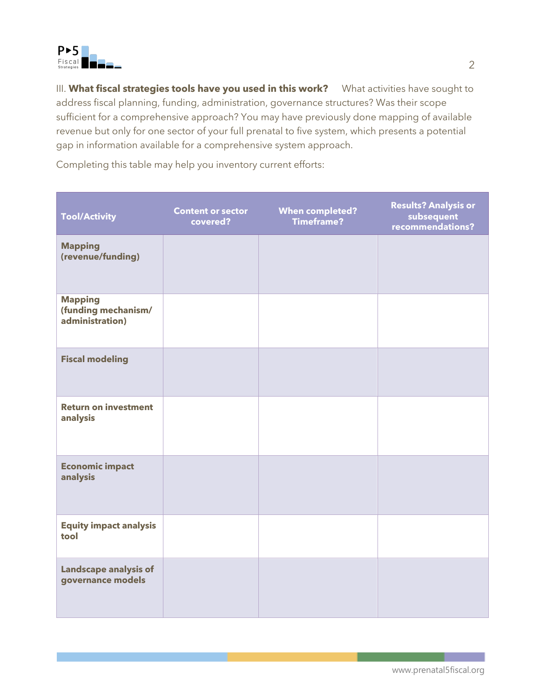

III. What fiscal strategies tools have you used in this work? What activities have sought to address fiscal planning, funding, administration, governance structures? Was their scope sufficient for a comprehensive approach? You may have previously done mapping of available revenue but only for one sector of your full prenatal to five system, which presents a potential gap in information available for a comprehensive system approach.

Completing this table may help you inventory current efforts:

| <b>Tool/Activity</b>                                     | <b>Content or sector</b><br>covered? | <b>When completed?</b><br><b>Timeframe?</b> | <b>Results? Analysis or</b><br>subsequent<br>recommendations? |
|----------------------------------------------------------|--------------------------------------|---------------------------------------------|---------------------------------------------------------------|
| <b>Mapping</b><br>(revenue/funding)                      |                                      |                                             |                                                               |
| <b>Mapping</b><br>(funding mechanism/<br>administration) |                                      |                                             |                                                               |
| <b>Fiscal modeling</b>                                   |                                      |                                             |                                                               |
| <b>Return on investment</b><br>analysis                  |                                      |                                             |                                                               |
| <b>Economic impact</b><br>analysis                       |                                      |                                             |                                                               |
| <b>Equity impact analysis</b><br>tool                    |                                      |                                             |                                                               |
| <b>Landscape analysis of</b><br>governance models        |                                      |                                             |                                                               |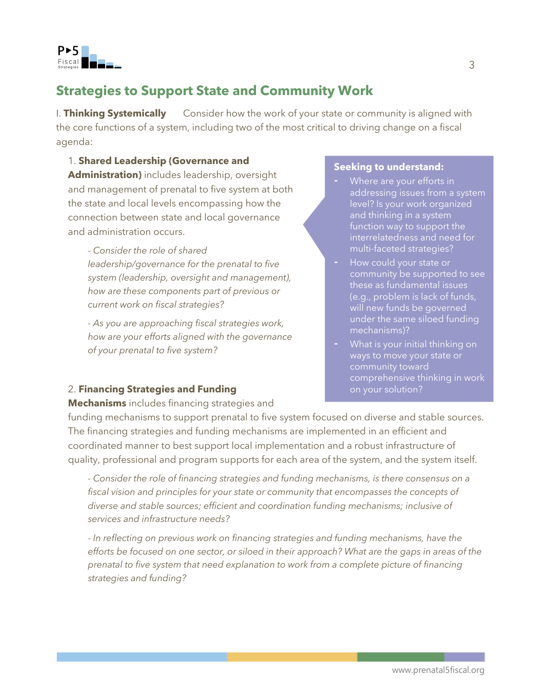

## **Strategies to Support State and Community Work**

I. **Thinking Systemically** Consider how the work of your state or community is aligned with the core functions of a system, including two of the most critical to driving change on a fiscal agenda:

#### 1. **Shared Leadership (Governance and**

**Administration)** includes leadership, oversight and management of prenatal to five system at both the state and local levels encompassing how the connection between state and local governance and administration occurs.

*- Consider the role of shared leadership/governance for the prenatal to five system (leadership, oversight and management), how are these components part of previous or current work on fiscal strategies?* 

*- As you are approaching fiscal strategies work, how are your efforts aligned with the governance of your prenatal to five system?* 

### **Seeking to understand:**

- **-** Where are your efforts in addressing issues from a system level? Is your work organized and thinking in a system function way to support the interrelatedness and need for multi-faceted strategies?
- **-** How could your state or community be supported to see these as fundamental issues (e.g., problem is lack of funds, will new funds be governed under the same siloed funding mechanisms)?
- **-** What is your initial thinking on ways to move your state or community toward comprehensive thinking in work on your solution?

### 2. **Financing Strategies and Funding**

**Mechanisms** includes financing strategies and

funding mechanisms to support prenatal to five system focused on diverse and stable sources. The financing strategies and funding mechanisms are implemented in an efficient and coordinated manner to best support local implementation and a robust infrastructure of quality, professional and program supports for each area of the system, and the system itself.

*- Consider the role of financing strategies and funding mechanisms, is there consensus on a fiscal vision and principles for your state or community that encompasses the concepts of diverse and stable sources; efficient and coordination funding mechanisms; inclusive of services and infrastructure needs?* 

*- In reflecting on previous work on financing strategies and funding mechanisms, have the efforts be focused on one sector, or siloed in their approach? What are the gaps in areas of the prenatal to five system that need explanation to work from a complete picture of financing strategies and funding?*